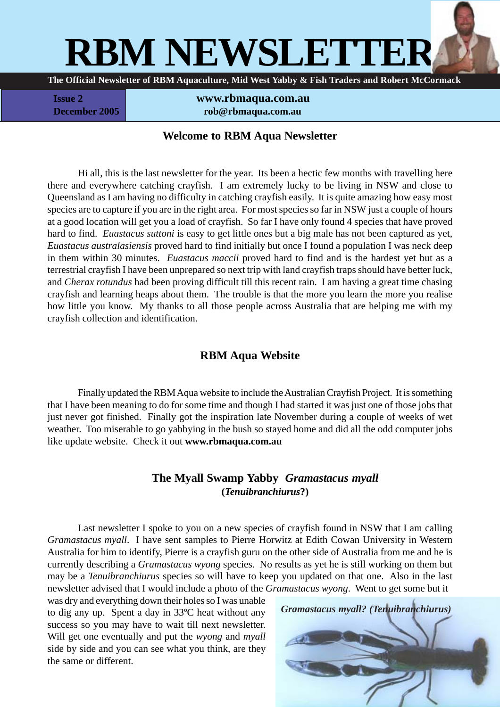

**Issue 2 www.rbmaqua.com.au December 2005 rob@rbmaqua.com.au** 

### **Welcome to RBM Aqua Newsletter**

Hi all, this is the last newsletter for the year. Its been a hectic few months with travelling here there and everywhere catching crayfish. I am extremely lucky to be living in NSW and close to Queensland as I am having no difficulty in catching crayfish easily. It is quite amazing how easy most species are to capture if you are in the right area. For most species so far in NSW just a couple of hours at a good location will get you a load of crayfish. So far I have only found 4 species that have proved hard to find. *Euastacus suttoni* is easy to get little ones but a big male has not been captured as yet, *Euastacus australasiensis* proved hard to find initially but once I found a population I was neck deep in them within 30 minutes. *Euastacus maccii* proved hard to find and is the hardest yet but as a terrestrial crayfish I have been unprepared so next trip with land crayfish traps should have better luck, and *Cherax rotundus* had been proving difficult till this recent rain. I am having a great time chasing crayfish and learning heaps about them. The trouble is that the more you learn the more you realise how little you know. My thanks to all those people across Australia that are helping me with my crayfish collection and identification.

# **RBM Aqua Website**

Finally updated the RBM Aqua website to include the Australian Crayfish Project. It is something that I have been meaning to do for some time and though I had started it was just one of those jobs that just never got finished. Finally got the inspiration late November during a couple of weeks of wet weather. Too miserable to go yabbying in the bush so stayed home and did all the odd computer jobs like update website. Check it out **www.rbmaqua.com.au**

### **The Myall Swamp Yabby** *Gramastacus myall* **(***Tenuibranchiurus***?)**

Last newsletter I spoke to you on a new species of crayfish found in NSW that I am calling *Gramastacus myall*. I have sent samples to Pierre Horwitz at Edith Cowan University in Western Australia for him to identify, Pierre is a crayfish guru on the other side of Australia from me and he is currently describing a *Gramastacus wyong* species. No results as yet he is still working on them but may be a *Tenuibranchiurus* species so will have to keep you updated on that one. Also in the last newsletter advised that I would include a photo of the *Gramastacus wyong*. Went to get some but it

was dry and everything down their holes so I was unable to dig any up. Spent a day in 33ºC heat without any success so you may have to wait till next newsletter. Will get one eventually and put the *wyong* and *myall* side by side and you can see what you think, are they the same or different.

*Gramastacus myall? (Tenuibranchiurus)*

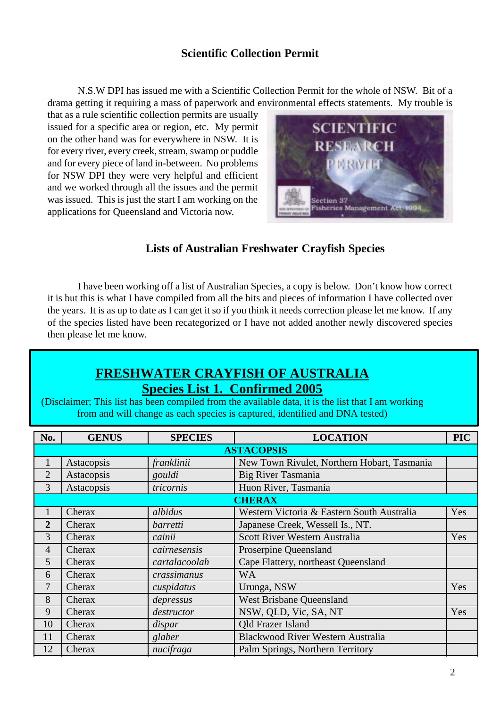## **Scientific Collection Permit**

N.S.W DPI has issued me with a Scientific Collection Permit for the whole of NSW. Bit of a drama getting it requiring a mass of paperwork and environmental effects statements. My trouble is

that as a rule scientific collection permits are usually issued for a specific area or region, etc. My permit on the other hand was for everywhere in NSW. It is for every river, every creek, stream, swamp or puddle and for every piece of land in-between. No problems for NSW DPI they were very helpful and efficient and we worked through all the issues and the permit was issued. This is just the start I am working on the applications for Queensland and Victoria now.



## **Lists of Australian Freshwater Crayfish Species**

I have been working off a list of Australian Species, a copy is below. Don't know how correct it is but this is what I have compiled from all the bits and pieces of information I have collected over the years. It is as up to date as I can get it so if you think it needs correction please let me know. If any of the species listed have been recategorized or I have not added another newly discovered species then please let me know.

# **FRESHWATER CRAYFISH OF AUSTRALIA Species List 1. Confirmed 2005**

(Disclaimer; This list has been compiled from the available data, it is the list that I am working from and will change as each species is captured, identified and DNA tested)

| No.            | <b>GENUS</b> | <b>SPECIES</b>  | <b>LOCATION</b>                             | <b>PIC</b> |
|----------------|--------------|-----------------|---------------------------------------------|------------|
|                |              |                 | <b>ASTACOPSIS</b>                           |            |
| $\mathbf{1}$   | Astacopsis   | franklinii      | New Town Rivulet, Northern Hobart, Tasmania |            |
| $\overline{2}$ | Astacopsis   | gouldi          | Big River Tasmania                          |            |
| 3              | Astacopsis   | tricornis       | Huon River, Tasmania                        |            |
|                |              |                 | <b>CHERAX</b>                               |            |
| 1              | Cherax       | albidus         | Western Victoria & Eastern South Australia  | Yes        |
| $\overline{2}$ | Cherax       | <i>barretti</i> | Japanese Creek, Wessell Is., NT.            |            |
| 3              | Cherax       | cainii          | Scott River Western Australia               |            |
| $\overline{4}$ | Cherax       | cairnesensis    | Proserpine Queensland                       |            |
| 5              | Cherax       | cartalacoolah   | Cape Flattery, northeast Queensland         |            |
| 6              | Cherax       | crassimanus     | <b>WA</b>                                   |            |
| 7              | Cherax       | cuspidatus      | Urunga, NSW                                 | Yes        |
| 8              | Cherax       | depressus       | <b>West Brisbane Queensland</b>             |            |
| 9              | Cherax       | destructor      | NSW, QLD, Vic, SA, NT                       | Yes        |
| 10             | Cherax       | dispar          | <b>Qld Frazer Island</b>                    |            |
| 11             | Cherax       | glaber          | <b>Blackwood River Western Australia</b>    |            |
| 12             | Cherax       | nucifraga       | Palm Springs, Northern Territory            |            |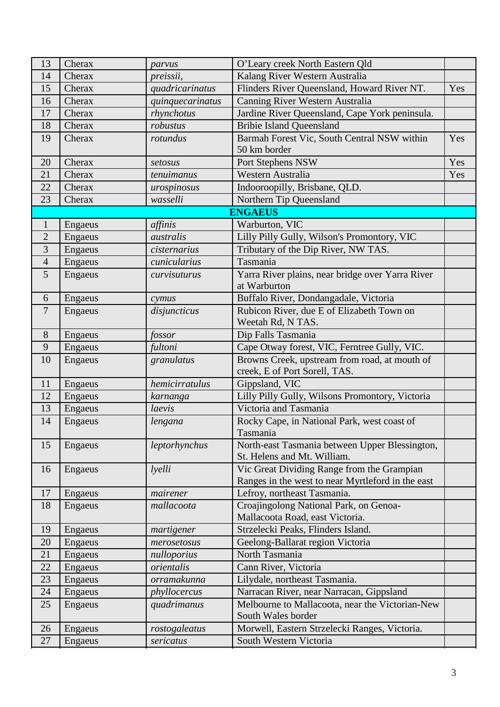| 13             | Cherax  | parvus           | O'Leary creek North Eastern Qld                                                |     |  |
|----------------|---------|------------------|--------------------------------------------------------------------------------|-----|--|
| 14             | Cherax  | preissii,        | Kalang River Western Australia                                                 |     |  |
| 15             | Cherax  | quadricarinatus  | Flinders River Queensland, Howard River NT.                                    | Yes |  |
| 16             | Cherax  | quinquecarinatus | Canning River Western Australia                                                |     |  |
| 17             | Cherax  | rhynchotus       | Jardine River Queensland, Cape York peninsula.                                 |     |  |
| 18             | Cherax  | robustus         | <b>Bribie Island Queensland</b>                                                |     |  |
| 19             | Cherax  | rotundus         | Barmah Forest Vic, South Central NSW within                                    | Yes |  |
|                |         |                  | 50 km border                                                                   |     |  |
| 20             | Cherax  | setosus          | Port Stephens NSW                                                              | Yes |  |
| 21             | Cherax  | tenuimanus       | Western Australia                                                              | Yes |  |
| 22             | Cherax  | urospinosus      | Indooroopilly, Brisbane, QLD.                                                  |     |  |
| 23             | Cherax  | wasselli         | Northern Tip Queensland                                                        |     |  |
|                |         |                  | <b>ENGAEUS</b>                                                                 |     |  |
| $\mathbf{1}$   | Engaeus | affinis          | Warburton, VIC                                                                 |     |  |
| $\overline{2}$ | Engaeus | australis        | Lilly Pilly Gully, Wilson's Promontory, VIC                                    |     |  |
| 3              | Engaeus | cisternarius     | Tributary of the Dip River, NW TAS.                                            |     |  |
| $\overline{4}$ | Engaeus | cunicularius     | Tasmania                                                                       |     |  |
| 5              | Engaeus | curvisuturus     | Yarra River plains, near bridge over Yarra River                               |     |  |
|                |         |                  | at Warburton                                                                   |     |  |
| 6              | Engaeus | cymus            | Buffalo River, Dondangadale, Victoria                                          |     |  |
| $\overline{7}$ | Engaeus | disjuncticus     | Rubicon River, due E of Elizabeth Town on                                      |     |  |
|                |         |                  | Weetah Rd, N TAS.                                                              |     |  |
| $8\,$          | Engaeus | fossor           | Dip Falls Tasmania                                                             |     |  |
| 9              | Engaeus | fultoni          | Cape Otway forest, VIC, Ferntree Gully, VIC.                                   |     |  |
| 10             | Engaeus | granulatus       | Browns Creek, upstream from road, at mouth of<br>creek, E of Port Sorell, TAS. |     |  |
| 11             | Engaeus | hemicirratulus   | Gippsland, VIC                                                                 |     |  |
| 12             | Engaeus | karnanga         | Lilly Pilly Gully, Wilsons Promontory, Victoria                                |     |  |
| 13             | Engaeus | laevis           | Victoria and Tasmania                                                          |     |  |
| 14             | Engaeus | lengana          | Rocky Cape, in National Park, west coast of                                    |     |  |
|                |         |                  | Tasmania                                                                       |     |  |
| 15             | Engaeus | leptorhynchus    | North-east Tasmania between Upper Blessington,                                 |     |  |
|                |         |                  | St. Helens and Mt. William.                                                    |     |  |
| 16             | Engaeus | lyelli           | Vic Great Dividing Range from the Grampian                                     |     |  |
|                |         |                  | Ranges in the west to near Myrtleford in the east                              |     |  |
| 17             | Engaeus | mairener         | Lefroy, northeast Tasmania.                                                    |     |  |
| 18             | Engaeus | mallacoota       | Croajingolong National Park, on Genoa-                                         |     |  |
|                |         |                  | Mallacoota Road, east Victoria.                                                |     |  |
| 19             | Engaeus | martigener       | Strzelecki Peaks, Flinders Island.                                             |     |  |
| 20             | Engaeus | merosetosus      | Geelong-Ballarat region Victoria                                               |     |  |
| 21             | Engaeus | nulloporius      | North Tasmania                                                                 |     |  |
| 22             | Engaeus | orientalis       | Cann River, Victoria                                                           |     |  |
| 23             | Engaeus | orramakunna      | Lilydale, northeast Tasmania.                                                  |     |  |
| 24             | Engaeus | phyllocercus     | Narracan River, near Narracan, Gippsland                                       |     |  |
| 25             | Engaeus | quadrimanus      | Melbourne to Mallacoota, near the Victorian-New                                |     |  |
|                |         |                  | South Wales border                                                             |     |  |
| 26             | Engaeus | rostogaleatus    | Morwell, Eastern Strzelecki Ranges, Victoria.                                  |     |  |
| 27             | Engaeus | sericatus        | South Western Victoria                                                         |     |  |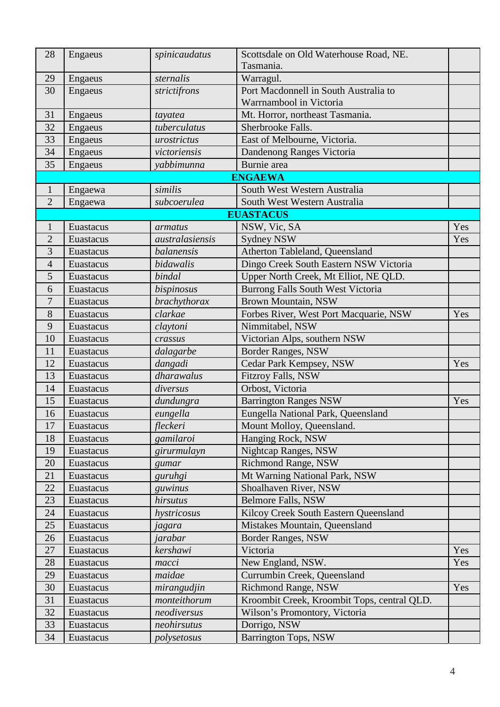| 28             | Engaeus            | spinicaudatus   | Scottsdale on Old Waterhouse Road, NE.<br>Tasmania. |     |
|----------------|--------------------|-----------------|-----------------------------------------------------|-----|
| 29             |                    | sternalis       |                                                     |     |
| 30             | Engaeus<br>Engaeus | strictifrons    | Warragul.<br>Port Macdonnell in South Australia to  |     |
|                |                    |                 | Warrnambool in Victoria                             |     |
| 31             | Engaeus            | tayatea         | Mt. Horror, northeast Tasmania.                     |     |
| 32             | Engaeus            | tuberculatus    | Sherbrooke Falls.                                   |     |
| 33             | Engaeus            | urostrictus     | East of Melbourne, Victoria.                        |     |
| 34             | Engaeus            | victoriensis    | Dandenong Ranges Victoria                           |     |
| 35             | Engaeus            | yabbimunna      | Burnie area                                         |     |
|                |                    |                 | <b>ENGAEWA</b>                                      |     |
| $\mathbf{1}$   | Engaewa            | similis         | South West Western Australia                        |     |
| $\overline{2}$ | Engaewa            | subcoerulea     | South West Western Australia                        |     |
|                |                    |                 | <b>EUASTACUS</b>                                    |     |
| $\mathbf{1}$   | Euastacus          | armatus         | NSW, Vic, SA                                        | Yes |
| $\overline{2}$ | Euastacus          | australasiensis | Sydney NSW                                          | Yes |
| 3              | Euastacus          | balanensis      | Atherton Tableland, Queensland                      |     |
| $\overline{4}$ | Euastacus          | bidawalis       | Dingo Creek South Eastern NSW Victoria              |     |
| 5              | Euastacus          | bindal          | Upper North Creek, Mt Elliot, NE QLD.               |     |
| 6              | Euastacus          | bispinosus      | Burrong Falls South West Victoria                   |     |
| 7              | Euastacus          | brachythorax    | <b>Brown Mountain, NSW</b>                          |     |
| 8              | Euastacus          | clarkae         | Forbes River, West Port Macquarie, NSW              |     |
| 9              | Euastacus          | claytoni        | Nimmitabel, NSW                                     |     |
| 10             | Euastacus          | crassus         | Victorian Alps, southern NSW                        |     |
| 11             | Euastacus          | dalagarbe       | Border Ranges, NSW                                  |     |
| 12             | Euastacus          | dangadi         | Cedar Park Kempsey, NSW                             |     |
| 13             | Euastacus          | dharawalus      | Fitzroy Falls, NSW                                  |     |
| 14             | Euastacus          | diversus        | Orbost, Victoria                                    |     |
| 15             | Euastacus          | dundungra       | <b>Barrington Ranges NSW</b>                        | Yes |
| 16             | Euastacus          | eungella        | Eungella National Park, Queensland                  |     |
| 17             | Euastacus          | fleckeri        | Mount Molloy, Queensland.                           |     |
| 18             | Euastacus          | gamilaroi       | Hanging Rock, NSW                                   |     |
| 19             | Euastacus          | girurmulayn     | Nightcap Ranges, NSW                                |     |
| 20             | Euastacus          | gumar           | Richmond Range, NSW                                 |     |
| 21             | Euastacus          | guruhgi         | Mt Warning National Park, NSW                       |     |
| 22             | Euastacus          | guwinus         | Shoalhaven River, NSW                               |     |
| 23             | Euastacus          | hirsutus        | <b>Belmore Falls, NSW</b>                           |     |
| 24             | Euastacus          | hystricosus     | Kilcoy Creek South Eastern Queensland               |     |
| 25             | Euastacus          | jagara          | Mistakes Mountain, Queensland                       |     |
| 26             | Euastacus          | jarabar         | Border Ranges, NSW                                  |     |
| 27             | Euastacus          | kershawi        | Victoria                                            | Yes |
| 28             | Euastacus          | macci           | New England, NSW.                                   | Yes |
| 29             | Euastacus          | maidae          | Currumbin Creek, Queensland                         |     |
| 30             | Euastacus          | mirangudjin     | <b>Richmond Range, NSW</b>                          | Yes |
| 31             | Euastacus          | monteithorum    | Kroombit Creek, Kroombit Tops, central QLD.         |     |
| 32             | Euastacus          | neodiversus     | Wilson's Promontory, Victoria                       |     |
| 33             | Euastacus          | neohirsutus     | Dorrigo, NSW                                        |     |
| 34             | Euastacus          | polysetosus     | <b>Barrington Tops, NSW</b>                         |     |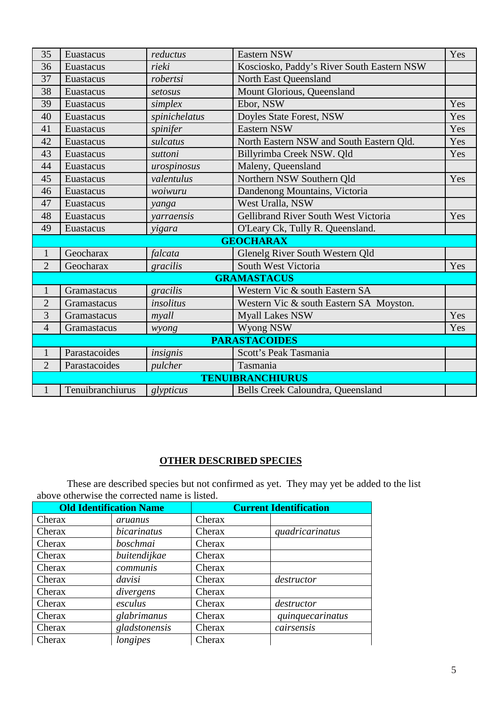| 35             | Euastacus        | reductus      | Eastern NSW                                | Yes |  |
|----------------|------------------|---------------|--------------------------------------------|-----|--|
| 36             | Euastacus        | rieki         | Kosciosko, Paddy's River South Eastern NSW |     |  |
| 37             | Euastacus        | robertsi      | <b>North East Queensland</b>               |     |  |
| 38             | Euastacus        | setosus       | Mount Glorious, Queensland                 |     |  |
| 39             | Euastacus        | simplex       | Ebor, NSW                                  | Yes |  |
| 40             | Euastacus        | spinichelatus | Doyles State Forest, NSW                   | Yes |  |
| 41             | Euastacus        | spinifer      | <b>Eastern NSW</b>                         |     |  |
| 42             | Euastacus        | sulcatus      | North Eastern NSW and South Eastern Qld.   | Yes |  |
| 43             | Euastacus        | suttoni       | Billyrimba Creek NSW. Qld                  | Yes |  |
| 44             | Euastacus        | urospinosus   | Maleny, Queensland                         |     |  |
| 45             | Euastacus        | valentulus    | Northern NSW Southern Qld                  | Yes |  |
| 46             | Euastacus        | woiwuru       | Dandenong Mountains, Victoria              |     |  |
| 47             | Euastacus        | yanga         | West Uralla, NSW                           |     |  |
| 48             | Euastacus        | yarraensis    | Gellibrand River South West Victoria       | Yes |  |
| 49             | Euastacus        | yigara        | O'Leary Ck, Tully R. Queensland.           |     |  |
|                |                  |               | <b>GEOCHARAX</b>                           |     |  |
| $\mathbf{1}$   | Geocharax        | falcata       | Glenelg River South Western Qld            |     |  |
| $\overline{2}$ | Geocharax        | gracilis      | South West Victoria                        | Yes |  |
|                |                  |               | <b>GRAMASTACUS</b>                         |     |  |
| $\mathbf{1}$   | Gramastacus      | gracilis      | Western Vic & south Eastern SA             |     |  |
| $\overline{2}$ | Gramastacus      | insolitus     | Western Vic & south Eastern SA Moyston.    |     |  |
| 3              | Gramastacus      | myall         | <b>Myall Lakes NSW</b>                     | Yes |  |
| $\overline{4}$ | Gramastacus      | wyong         | Wyong NSW                                  | Yes |  |
|                |                  |               | <b>PARASTACOIDES</b>                       |     |  |
| $\mathbf{1}$   | Parastacoides    | insignis      | Scott's Peak Tasmania                      |     |  |
| $\overline{2}$ | Parastacoides    | pulcher       | Tasmania                                   |     |  |
|                |                  |               | <b>TENUIBRANCHIURUS</b>                    |     |  |
| $\mathbf{1}$   | Tenuibranchiurus | glypticus     | Bells Creek Caloundra, Queensland          |     |  |

# **OTHER DESCRIBED SPECIES**

These are described species but not confirmed as yet. They may yet be added to the list above otherwise the corrected name is listed.

| <b>Old Identification Name</b> |               | <b>Current Identification</b> |                  |
|--------------------------------|---------------|-------------------------------|------------------|
| Cherax                         | aruanus       | Cherax                        |                  |
| Cherax                         | bicarinatus   | Cherax                        | quadricarinatus  |
| Cherax                         | boschmai      | Cherax                        |                  |
| Cherax                         | buitendijkae  | Cherax                        |                  |
| Cherax                         | communis      | Cherax                        |                  |
| Cherax                         | davisi        | Cherax                        | destructor       |
| Cherax                         | divergens     | Cherax                        |                  |
| Cherax                         | esculus       | Cherax                        | destructor       |
| Cherax                         | glabrimanus   | Cherax                        | quinquecarinatus |
| Cherax                         | gladstonensis | Cherax                        | cairsensis       |
| Cherax                         | longipes      | Cherax                        |                  |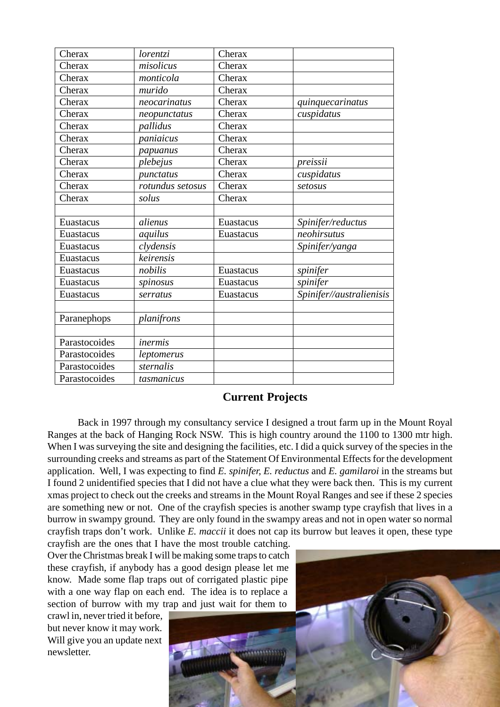| Cherax        | lorentzi         | Cherax    |                          |
|---------------|------------------|-----------|--------------------------|
| Cherax        | misolicus        | Cherax    |                          |
| Cherax        | monticola        | Cherax    |                          |
| Cherax        | murido           | Cherax    |                          |
| Cherax        | neocarinatus     | Cherax    | quinquecarinatus         |
| Cherax        | neopunctatus     | Cherax    | cuspidatus               |
| Cherax        | pallidus         | Cherax    |                          |
| Cherax        | paniaicus        | Cherax    |                          |
| Cherax        | papuanus         | Cherax    |                          |
| Cherax        | plebejus         | Cherax    | preissii                 |
| Cherax        | punctatus        | Cherax    | cuspidatus               |
| Cherax        | rotundus setosus | Cherax    | setosus                  |
| Cherax        | solus            | Cherax    |                          |
|               |                  |           |                          |
| Euastacus     | alienus          | Euastacus | Spinifer/reductus        |
| Euastacus     | aquilus          | Euastacus | neohirsutus              |
| Euastacus     | clydensis        |           | Spinifer/yanga           |
| Euastacus     | keirensis        |           |                          |
| Euastacus     | nobilis          | Euastacus | spinifer                 |
| Euastacus     | spinosus         | Euastacus | spinifer                 |
| Euastacus     | serratus         | Euastacus | Spinifer//australienisis |
|               |                  |           |                          |
| Paranephops   | planifrons       |           |                          |
|               |                  |           |                          |
| Parastocoides | inermis          |           |                          |
| Parastocoides | leptomerus       |           |                          |
| Parastocoides | sternalis        |           |                          |
| Parastocoides | tasmanicus       |           |                          |

#### **Current Projects**

Back in 1997 through my consultancy service I designed a trout farm up in the Mount Royal Ranges at the back of Hanging Rock NSW. This is high country around the 1100 to 1300 mtr high. When I was surveying the site and designing the facilities, etc. I did a quick survey of the species in the surrounding creeks and streams as part of the Statement Of Environmental Effects for the development application. Well, I was expecting to find *E. spinifer, E. reductus* and *E. gamilaroi* in the streams but I found 2 unidentified species that I did not have a clue what they were back then. This is my current xmas project to check out the creeks and streams in the Mount Royal Ranges and see if these 2 species are something new or not. One of the crayfish species is another swamp type crayfish that lives in a burrow in swampy ground. They are only found in the swampy areas and not in open water so normal crayfish traps don't work. Unlike *E. maccii* it does not cap its burrow but leaves it open, these type

crayfish are the ones that I have the most trouble catching. Over the Christmas break I will be making some traps to catch these crayfish, if anybody has a good design please let me know. Made some flap traps out of corrigated plastic pipe with a one way flap on each end. The idea is to replace a section of burrow with my trap and just wait for them to

crawl in, never tried it before, but never know it may work. Will give you an update next newsletter.

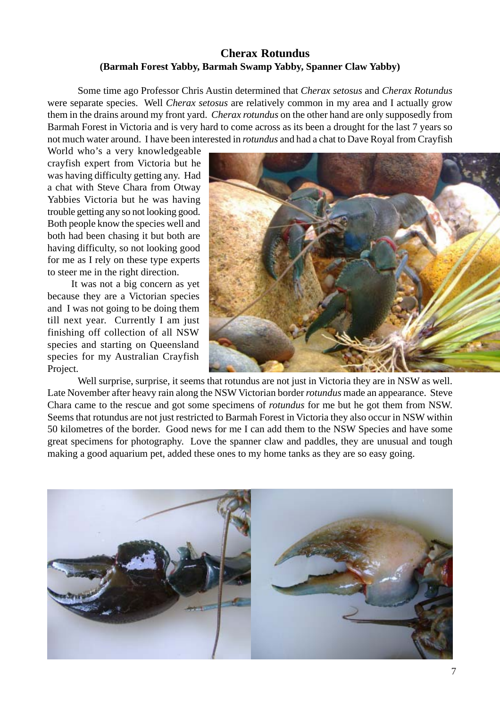### **Cherax Rotundus (Barmah Forest Yabby, Barmah Swamp Yabby, Spanner Claw Yabby)**

Some time ago Professor Chris Austin determined that *Cherax setosus* and *Cherax Rotundus* were separate species. Well *Cherax setosus* are relatively common in my area and I actually grow them in the drains around my front yard. *Cherax rotundus* on the other hand are only supposedly from Barmah Forest in Victoria and is very hard to come across as its been a drought for the last 7 years so not much water around. I have been interested in *rotundus* and had a chat to Dave Royal from Crayfish

World who's a very knowledgeable crayfish expert from Victoria but he was having difficulty getting any. Had a chat with Steve Chara from Otway Yabbies Victoria but he was having trouble getting any so not looking good. Both people know the species well and both had been chasing it but both are having difficulty, so not looking good for me as I rely on these type experts to steer me in the right direction.

It was not a big concern as yet because they are a Victorian species and I was not going to be doing them till next year. Currently I am just finishing off collection of all NSW species and starting on Queensland species for my Australian Crayfish Project.



Well surprise, surprise, it seems that rotundus are not just in Victoria they are in NSW as well. Late November after heavy rain along the NSW Victorian border *rotundus* made an appearance. Steve Chara came to the rescue and got some specimens of *rotundus* for me but he got them from NSW. Seems that rotundus are not just restricted to Barmah Forest in Victoria they also occur in NSW within 50 kilometres of the border. Good news for me I can add them to the NSW Species and have some great specimens for photography. Love the spanner claw and paddles, they are unusual and tough making a good aquarium pet, added these ones to my home tanks as they are so easy going.

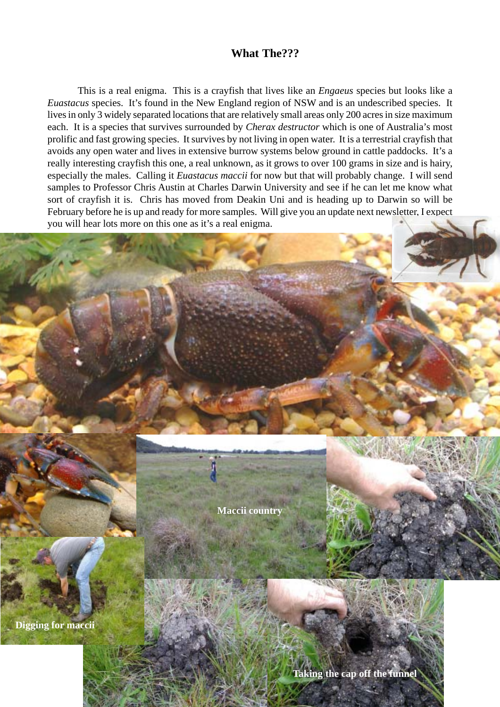### **What The???**

This is a real enigma. This is a crayfish that lives like an *Engaeus* species but looks like a *Euastacus* species. It's found in the New England region of NSW and is an undescribed species. It lives in only 3 widely separated locations that are relatively small areas only 200 acres in size maximum each. It is a species that survives surrounded by *Cherax destructor* which is one of Australia's most prolific and fast growing species. It survives by not living in open water. It is a terrestrial crayfish that avoids any open water and lives in extensive burrow systems below ground in cattle paddocks. It's a really interesting crayfish this one, a real unknown, as it grows to over 100 grams in size and is hairy, especially the males. Calling it *Euastacus maccii* for now but that will probably change. I will send samples to Professor Chris Austin at Charles Darwin University and see if he can let me know what sort of crayfish it is. Chris has moved from Deakin Uni and is heading up to Darwin so will be February before he is up and ready for more samples. Will give you an update next newsletter, I expect you will hear lots more on this one as it's a real enigma.

**Maccii country**

**Digging for maccii**

**Taking the cap off the funnel**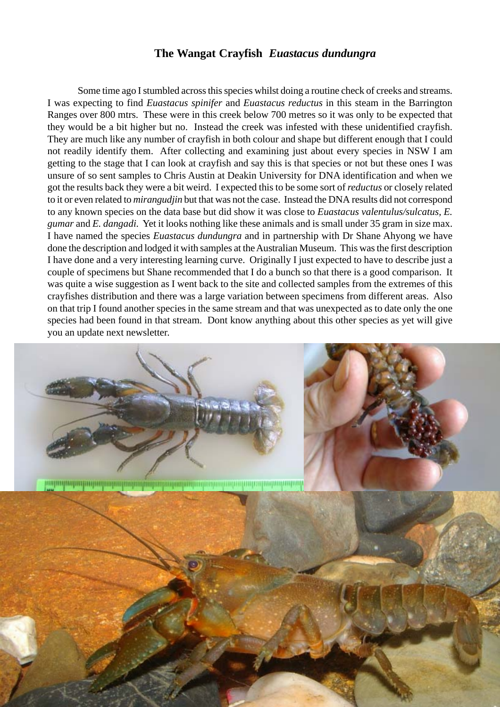### **The Wangat Crayfish** *Euastacus dundungra*

Some time ago I stumbled across this species whilst doing a routine check of creeks and streams. I was expecting to find *Euastacus spinifer* and *Euastacus reductus* in this steam in the Barrington Ranges over 800 mtrs. These were in this creek below 700 metres so it was only to be expected that they would be a bit higher but no. Instead the creek was infested with these unidentified crayfish. They are much like any number of crayfish in both colour and shape but different enough that I could not readily identify them. After collecting and examining just about every species in NSW I am getting to the stage that I can look at crayfish and say this is that species or not but these ones I was unsure of so sent samples to Chris Austin at Deakin University for DNA identification and when we got the results back they were a bit weird. I expected this to be some sort of *reductus* or closely related to it or even related to *mirangudjin* but that was not the case. Instead the DNA results did not correspond to any known species on the data base but did show it was close to *Euastacus valentulus/sulcatus, E. gumar* and *E. dangadi.* Yet it looks nothing like these animals and is small under 35 gram in size max. I have named the species *Euastacus dundungra* and in partnership with Dr Shane Ahyong we have done the description and lodged it with samples at the Australian Museum. This was the first description I have done and a very interesting learning curve. Originally I just expected to have to describe just a couple of specimens but Shane recommended that I do a bunch so that there is a good comparison. It was quite a wise suggestion as I went back to the site and collected samples from the extremes of this crayfishes distribution and there was a large variation between specimens from different areas. Also on that trip I found another species in the same stream and that was unexpected as to date only the one species had been found in that stream. Dont know anything about this other species as yet will give you an update next newsletter.

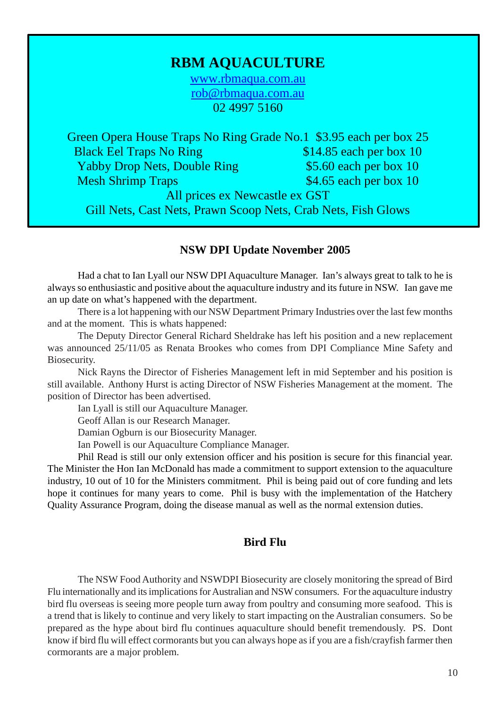# **RBM AQUACULTURE**

www.rbmaqua.com.au rob@rbmaqua.com.au 02 4997 5160

Green Opera House Traps No Ring Grade No.1 \$3.95 each per box 25 Black Eel Traps No Ring  $$14.85$  each per box 10 Yabby Drop Nets, Double Ring \$5.60 each per box 10 Mesh Shrimp Traps  $$4.65$  each per box 10 All prices ex Newcastle ex GST Gill Nets, Cast Nets, Prawn Scoop Nets, Crab Nets, Fish Glows

#### **NSW DPI Update November 2005**

Had a chat to Ian Lyall our NSW DPI Aquaculture Manager. Ian's always great to talk to he is always so enthusiastic and positive about the aquaculture industry and its future in NSW. Ian gave me an up date on what's happened with the department.

There is a lot happening with our NSW Department Primary Industries over the last few months and at the moment. This is whats happened:

The Deputy Director General Richard Sheldrake has left his position and a new replacement was announced 25/11/05 as Renata Brookes who comes from DPI Compliance Mine Safety and Biosecurity.

Nick Rayns the Director of Fisheries Management left in mid September and his position is still available. Anthony Hurst is acting Director of NSW Fisheries Management at the moment. The position of Director has been advertised.

Ian Lyall is still our Aquaculture Manager.

Geoff Allan is our Research Manager.

Damian Ogburn is our Biosecurity Manager.

Ian Powell is our Aquaculture Compliance Manager.

Phil Read is still our only extension officer and his position is secure for this financial year. The Minister the Hon Ian McDonald has made a commitment to support extension to the aquaculture industry, 10 out of 10 for the Ministers commitment. Phil is being paid out of core funding and lets hope it continues for many years to come. Phil is busy with the implementation of the Hatchery Quality Assurance Program, doing the disease manual as well as the normal extension duties.

#### **Bird Flu**

The NSW Food Authority and NSWDPI Biosecurity are closely monitoring the spread of Bird Flu internationally and its implications for Australian and NSW consumers. For the aquaculture industry bird flu overseas is seeing more people turn away from poultry and consuming more seafood. This is a trend that is likely to continue and very likely to start impacting on the Australian consumers. So be prepared as the hype about bird flu continues aquaculture should benefit tremendously. PS. Dont know if bird flu will effect cormorants but you can always hope as if you are a fish/crayfish farmer then cormorants are a major problem.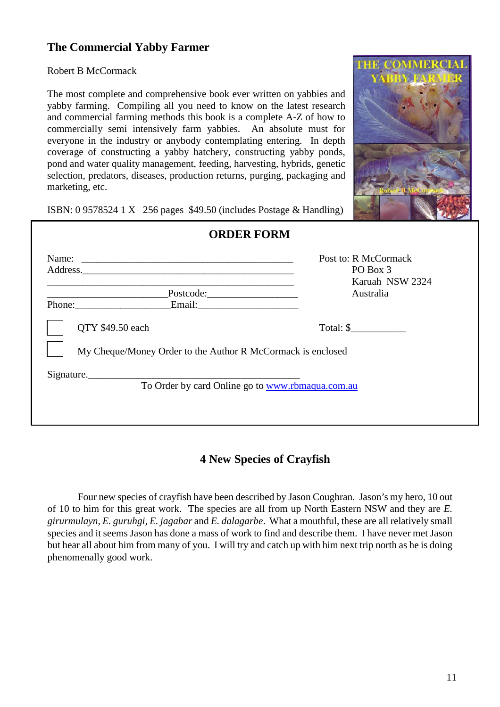## **The Commercial Yabby Farmer**

Robert B McCormack

The most complete and comprehensive book ever written on yabbies and yabby farming. Compiling all you need to know on the latest research and commercial farming methods this book is a complete A-Z of how to commercially semi intensively farm yabbies. An absolute must for everyone in the industry or anybody contemplating entering. In depth coverage of constructing a yabby hatchery, constructing yabby ponds, pond and water quality management, feeding, harvesting, hybrids, genetic selection, predators, diseases, production returns, purging, packaging and marketing, etc.



ISBN: 0 9578524 1 X 256 pages \$49.50 (includes Postage & Handling)

| Address.                                                    | Post to: R McCormack<br>PO Box 3<br>Karuah NSW 2324 |
|-------------------------------------------------------------|-----------------------------------------------------|
|                                                             | Australia                                           |
| Phone:                                                      |                                                     |
| QTY \$49.50 each                                            | Total: \$                                           |
| My Cheque/Money Order to the Author R McCormack is enclosed |                                                     |
| Signature.                                                  |                                                     |
|                                                             | To Order by card Online go to www.rbmaqua.com.au    |

# **4 New Species of Crayfish**

Four new species of crayfish have been described by Jason Coughran. Jason's my hero, 10 out of 10 to him for this great work. The species are all from up North Eastern NSW and they are *E. girurmulayn, E. guruhgi, E. jagabar* and *E. dalagarbe*. What a mouthful, these are all relatively small species and it seems Jason has done a mass of work to find and describe them. I have never met Jason but hear all about him from many of you. I will try and catch up with him next trip north as he is doing phenomenally good work.